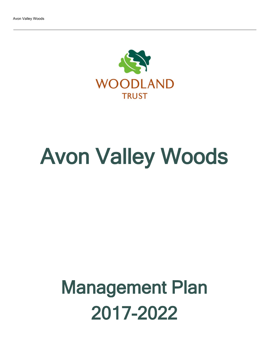

# Avon Valley Woods

# Management Plan 2017-2022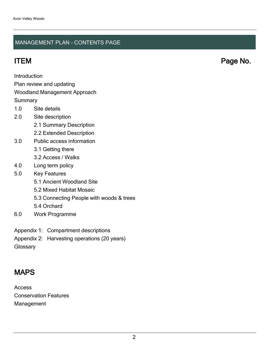#### MANAGEMENT PLAN - CONTENTS PAGE

## ITEM Page No.

Introduction

Plan review and updating

#### Woodland Management Approach

**Summary** 

- 1.0 Site details
- 2.0 Site description
	- 2.1 Summary Description
	- 2.2 Extended Description
- 3.0 Public access information
	- 3.1 Getting there
	- 3.2 Access / Walks
- 4.0 Long term policy
- 5.0 Key Features
	- 5.1 Ancient Woodland Site
	- 5.2 Mixed Habitat Mosaic
	- 5.3 Connecting People with woods & trees
	- 5.4 Orchard
- 6.0 Work Programme
- Appendix 1: Compartment descriptions
- Appendix 2: Harvesting operations (20 years)
- **Glossary**

## MAPS

Access Conservation Features Management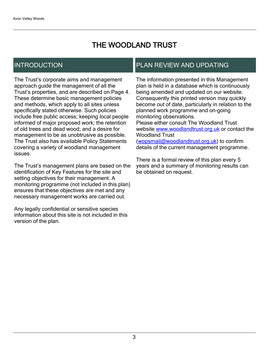## THE WOODLAND TRUST

## INTRODUCTION

The Trust's corporate aims and management approach guide the management of all the Trust's properties, and are described on Page 4. These determine basic management policies and methods, which apply to all sites unless specifically stated otherwise. Such policies include free public access; keeping local people informed of major proposed work; the retention of old trees and dead wood; and a desire for management to be as unobtrusive as possible. The Trust also has available Policy Statements covering a variety of woodland management issues.

The Trust's management plans are based on the identification of Key Features for the site and setting objectives for their management. A monitoring programme (not included in this plan) ensures that these objectives are met and any necessary management works are carried out.

Any legally confidential or sensitive species information about this site is not included in this version of the plan.

## PLAN REVIEW AND UPDATING

The information presented in this Management plan is held in a database which is continuously being amended and updated on our website. Consequently this printed version may quickly become out of date, particularly in relation to the planned work programme and on-going monitoring observations. Please either consult The Woodland Trust website [www.woodlandtrust.org.uk](http://www.woodlandtrust.org.uk/) or contact the Woodland Trust [\(wopsmail@woodlandtrust.org.uk](mailto:wopsmail@woodlandtrust.org.uk)) to confirm

details of the current management programme.

There is a formal review of this plan every 5 years and a summary of monitoring results can be obtained on request.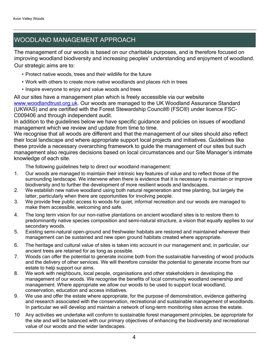## WOODLAND MANAGEMENT APPROACH

The management of our woods is based on our charitable purposes, and is therefore focused on improving woodland biodiversity and increasing peoples' understanding and enjoyment of woodland. Our strategic aims are to:

- Protect native woods, trees and their wildlife for the future
- Work with others to create more native woodlands and places rich in trees
- Inspire everyone to enjoy and value woods and trees

All our sites have a management plan which is freely accessible via our website [www.woodlandtrust.org.uk.](http://www.woodlandtrust.org.uk/) Our woods are managed to the UK Woodland Assurance Standard (UKWAS) and are certified with the Forest Stewardship Council® (FSC®) under licence FSC-C009406 and through independent audit.

In addition to the guidelines below we have specific guidance and policies on issues of woodland management which we review and update from time to time.

We recognise that all woods are different and that the management of our sites should also reflect their local landscape and where appropriate support local projects and initiatives. Guidelines like these provide a necessary overarching framework to guide the management of our sites but such management also requires decisions based on local circumstances and our Site Manager's intimate knowledge of each site.

The following guidelines help to direct our woodland management:

- 1. Our woods are managed to maintain their intrinsic key features of value and to reflect those of the surrounding landscape. We intervene when there is evidence that it is necessary to maintain or improve biodiversity and to further the development of more resilient woods and landscapes.
- 2. We establish new native woodland using both natural regeneration and tree planting, but largely the latter, particularly when there are opportunities for involving people.
- 3. We provide free public access to woods for quiet, informal recreation and our woods are managed to make them accessible, welcoming and safe.
- 4. The long term vision for our non-native plantations on ancient woodland sites is to restore them to predominantly native species composition and semi-natural structure, a vision that equally applies to our secondary woods.
- 5. Existing semi-natural open-ground and freshwater habitats are restored and maintained wherever their management can be sustained and new open ground habitats created where appropriate.
- 6. The heritage and cultural value of sites is taken into account in our management and, in particular, our ancient trees are retained for as long as possible.
- 7. Woods can offer the potential to generate income both from the sustainable harvesting of wood products and the delivery of other services. We will therefore consider the potential to generate income from our estate to help support our aims.
- 8. We work with neighbours, local people, organisations and other stakeholders in developing the management of our woods. We recognise the benefits of local community woodland ownership and management. Where appropriate we allow our woods to be used to support local woodland, conservation, education and access initiatives.
- 9. We use and offer the estate where appropriate, for the purpose of demonstration, evidence gathering and research associated with the conservation, recreational and sustainable management of woodlands. In particular we will develop and maintain a network of long-term monitoring sites across the estate.
- 10 Any activities we undertake will conform to sustainable forest management principles, be appropriate for the site and will be balanced with our primary objectives of enhancing the biodiversity and recreational value of our woods and the wider landscapes.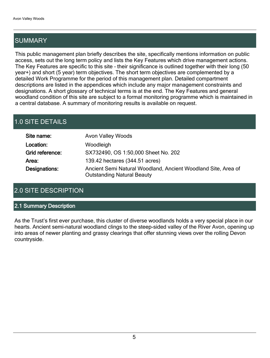## SUMMARY

This public management plan briefly describes the site, specifically mentions information on public access, sets out the long term policy and lists the Key Features which drive management actions. The Key Features are specific to this site - their significance is outlined together with their long (50 year+) and short (5 year) term objectives. The short term objectives are complemented by a detailed Work Programme for the period of this management plan. Detailed compartment descriptions are listed in the appendices which include any major management constraints and designations. A short glossary of technical terms is at the end. The Key Features and general woodland condition of this site are subject to a formal monitoring programme which is maintained in a central database. A summary of monitoring results is available on request.

## 1.0 SITE DETAILS

| Site name:      | Avon Valley Woods                                                                                  |
|-----------------|----------------------------------------------------------------------------------------------------|
| Location:       | Woodleigh                                                                                          |
| Grid reference: | SX732490, OS 1:50,000 Sheet No. 202                                                                |
| Area:           | 139.42 hectares (344.51 acres)                                                                     |
| Designations:   | Ancient Semi Natural Woodland, Ancient Woodland Site, Area of<br><b>Outstanding Natural Beauty</b> |

## 2.0 SITE DESCRIPTION

#### 2.1 Summary Description

As the Trust's first ever purchase, this cluster of diverse woodlands holds a very special place in our hearts. Ancient semi-natural woodland clings to the steep-sided valley of the River Avon, opening up into areas of newer planting and grassy clearings that offer stunning views over the rolling Devon countryside.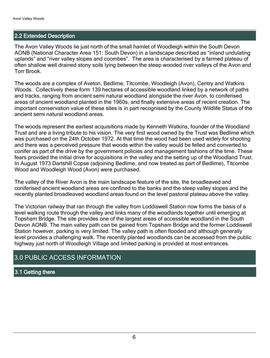#### 2.2 Extended Description

The Avon Valley Woods lie just north of the small hamlet of Woodleigh within the South Devon AONB (National Character Area 151: South Devon) in a landscape described as "inland undulating uplands" and "river valley slopes and coombes". The area is characterised by a farmed plateau of often shallow well drained stony soils lying between the steep wooded river valleys of the Avon and Torr Brook.

The woods are a complex of Aveton, Bedlime, Titcombe, Woodleigh (Avon), Centry and Watkins Woods. Collectively these form 139 hectares of accessible woodland linked by a network of paths and tracks, ranging from ancient semi natural woodland alongside the river Avon, to coniferised areas of ancient woodland planted in the 1960s, and finally extensive areas of recent creation. The important conservation value of these sites is in part recognised by the County Wildlife Status of the ancient semi natural woodland areas.

The woods represent the earliest acquisitions made by Kenneth Watkins, founder of the Woodland Trust and are a living tribute to his vision. The very first wood owned by the Trust was Bedlime which was purchased on the 24th October 1972. At that time the wood had been used widely for shooting and there was a perceived pressure that woods within the valley would be felled and converted to conifer as part of the drive by the government policies and management fashions of the time. These fears provided the initial drive for acquisitions in the valley and the setting up of the Woodland Trust. In August 1973 Dartshill Copse (adjoining Bedlime, and now treated as part of Bedlime), Titcombe Wood and Woodleigh Wood (Avon) were purchased.

The valley of the River Avon is the main landscape feature of the site, the broadleaved and coniferised ancient woodland areas are confined to the banks and the steep valley slopes and the recently planted broadleaved woodland areas found on the level pastoral plateau above the valley.

The Victorian railway that ran through the valley from Loddiswell Station now forms the basis of a level walking route through the valley and links many of the woodlands together until emerging at Topsham Bridge. The site provides one of the largest areas of accessible woodland in the South Devon AONB. The main valley path can be gained from Topsham Bridge and the former Loddiswell Station however, parking is very limited. The valley path is often flooded and although generally level provides a challenging walk. The recently planted woodlands can be accessed from the public highway just north of Woodleigh Village and limited parking is provided at most entrances.

## 3.0 PUBLIC ACCESS INFORMATION

#### 3.1 Getting there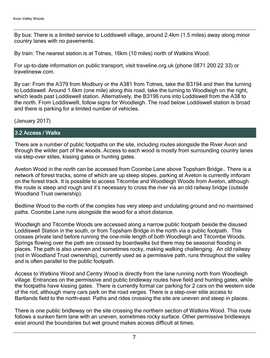By bus: There is a limited service to Loddiswell village, around 2.4km (1.5 miles) away along minor country lanes with no pavements.

By train: The nearest station is at Totnes, 16km (10 miles) north of Watkins Wood.

For up-to-date information on public transport, visit traveline.org.uk (phone 0871 200 22 33) or travelinesw.com.

By car: From the A379 from Modbury or the A381 from Totnes, take the B3194 and then the turning to Loddiswell. Around 1.6km (one mile) along this road, take the turning to Woodleigh on the right, which leads past Loddiswell station. Alternatively, the B3196 runs into Loddiswell from the A38 to the north. From Loddiswelll, follow signs for Woodleigh. The road below Loddiswell station is broad and there is parking for a limited number of vehicles.

(January 2017)

#### 3.2 Access / Walks

There are a number of public footpaths on the site, including routes alongside the River Avon and through the wilder part of the woods. Access to each wood is mostly from surrounding country lanes via step-over stiles, kissing gates or hunting gates.

Aveton Wood in the north can be accessed from Coombe Lane above Topsham Bridge.. There is a network of forest tracks, some of which are up steep slopes. parking at Aveton is currently imforam on the forest track. It is possible to access Titcombe and Woodleigh Woods from Aveton, although the route is steep and rough and it's necessary to cross the river via an old railway bridge (outside Woodland Trust ownership).

Bedlime Wood to the north of the complex has very steep and undulating ground and no maintained paths. Coombe Lane runs alongside the wood for a short distance.

Woodleigh and Titcombe Woods are accessed along a narrow public footpath beside the disused Loddiswell Station in the south, or from Topsham Bridge in the north via a public footpath. This crosses private land before running the one-mile length of both Woodleigh and Titcombe Woods. Springs flowing over the path are crossed by boardwalks but there may be seasonal flooding in places. The path is also uneven and sometimes rocky, making walking challenging. An old railway (not in Woodland Trust ownership), currently used as a permissive path, runs throughout the valley and is often parallel to the public footpath.

Access to Watkins Wood and Centry Wood is directly from the lane running north from Woodleigh village. Entrances on the permissive and public bridleway routes have field and hunting gates, while the footpaths have kissing gates. There is currently formal car parking for 2 cars on the western side of the rod, although many cars park on the road verges. There is a step-over stile access to Bartlands field to the north-east. Paths and rides crossing the site are uneven and steep in places.

There is one public bridleway on the site crossing the northern section of Watkins Wood. This route follows a sunken farm lane with an uneven, sometimes rocky surface. Other permissive bridleways exist around the boundaries but wet ground makes access difficult at times.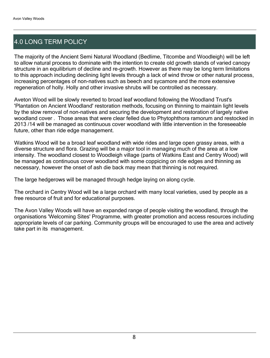## 4.0 LONG TERM POLICY

The majority of the Ancient Semi Natural Woodland (Bedlime, Titcombe and Woodleigh) will be left to allow natural process to dominate with the intention to create old growth stands of varied canopy structure in an equilibrium of decline and re-growth. However as there may be long term limitations to this approach including declining light levels through a lack of wind throw or other natural process, increasing percentages of non-natives such as beech and sycamore and the more extensive regeneration of holly. Holly and other invasive shrubs will be controlled as necessary.

Aveton Wood will be slowly reverted to broad leaf woodland following the Woodland Trust's 'Plantation on Ancient Woodland' restoration methods, focusing on thinning to maintain light levels by the slow removal of non-natives and securing the development and restoration of largely native woodland cover . Those areas that were clear felled due to Phytophthora ramorum and restocked in 2013 /14 will be managed as continuous cover woodland with little intervention in the foreseeable future, other than ride edge management.

Watkins Wood will be a broad leaf woodland with wide rides and large open grassy areas, with a diverse structure and flora. Grazing will be a major tool in managing much of the area at a low intensity. The woodland closest to Woodleigh village (parts of Watkins East and Centry Wood) will be managed as continuous cover woodland with some coppicing on ride edges and thinning as necessary, however the onset of ash die back may mean that thinning is not required.

The large hedgerows will be managed through hedge laying on along cycle.

The orchard in Centry Wood will be a large orchard with many local varieties, used by people as a free resource of fruit and for educational purposes.

The Avon Valley Woods will have an expanded range of people visiting the woodland, through the organisations 'Welcoming Sites' Programme, with greater promotion and access resources including appropriate levels of car parking. Community groups will be encouraged to use the area and actively take part in its management.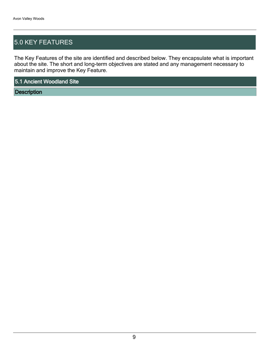## 5.0 KEY FEATURES

The Key Features of the site are identified and described below. They encapsulate what is important about the site. The short and long-term objectives are stated and any management necessary to maintain and improve the Key Feature.

5.1 Ancient Woodland Site

**Description**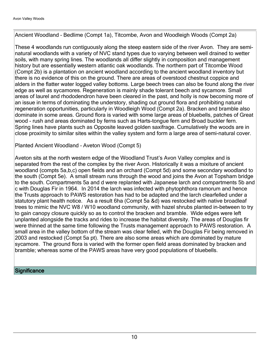Ancient Woodland - Bedlime (Compt 1a), Titcombe, Avon and Woodleigh Woods (Compt 2a)

These 4 woodlands run contiguously along the steep eastern side of the river Avon. They are seminatural woodlands with a variety of NVC stand types due to varying between well drained to wetter soils, with many spring lines. The woodlands all differ slightly in composition and management history but are essentially western atlantic oak woodlands. The northern part of Titcombe Wood (Compt 2b) is a plantation on ancient woodland according to the ancient woodland inventory but there is no evidence of this on the ground. There are areas of overstood chestnut coppice and alders in the flatter water logged valley bottoms. Large beech trees can also be found along the river edge as well as sycamores. Regeneration is mainly shade tolerant beech and sycamore. Small areas of laurel and rhododendron have been cleared in the past, and holly is now becoming more of an issue in terms of dominating the understory, shading out ground flora and prohibiting natural regeneration opportunities, particularly in Woodleigh Wood (Compt 2a). Bracken and bramble also dominate in some areas. Ground flora is varied with some large areas of bluebells, patches of Great wood - rush and areas dominated by ferns such as Harts-tongue fern and Broad buckler fern. Spring lines have plants such as Opposite leaved golden saxifrage. Cumulatively the woods are in close proximity to similar sites within the valley system and form a large area of semi-natural cover.

#### Planted Ancient Woodland - Aveton Wood (Compt 5)

Aveton sits at the north western edge of the Woodland Trust's Avon Valley complex and is separated from the rest of the complex by the river Avon. Historically it was a mixiture of ancient woodland (compts 5a,b,c) open fields and an orchard (Compt 5d) and some secondary woodland to the south (Compt 5e). A small stream runs through the wood and joins the Avon at Topsham bridge to the south. Compartments 5a and d were replanted with Japanese larch and compartments 5b and c with Douglas Fir in 1964. In 2014 the larch was infected with phytophthora ramorum and hence the Trusts approach to PAWS restoration has had to be adapted and the larch clearfelled under a statutory plant health notice. As a result 6ha (Compt 5a &d) was restocked with native broadleaf trees to mimic the NVC W8 / W10 woodland community, with hazel shrubs planted in-between to try to gain canopy closure quickly so as to control the bracken and bramble. Wide edges were left unplanted alongside the tracks and rides to increase the habitat diversity. The areas of Douglas fir were thinned at the same time following the Trusts management approach to PAWS restoration. A small area in the valley bottom of the stream was clear felled, with the Douglas Fir being removed in 2003 and restocked (Compt 5a pt). There are also some areas which are dominated by mature sycamore. The ground flora is varied with the former open field areas dominated by bracken and bramble; whereas some of the PAWS areas have very good populations of bluebells.

#### **Significance**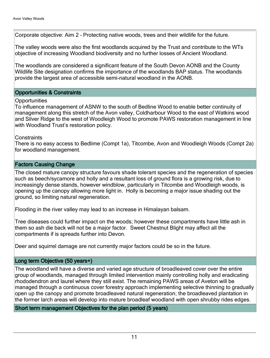Corporate objective: Aim 2 - Protecting native woods, trees and their wildlife for the future.

The valley woods were also the first woodlands acquired by the Trust and contribute to the WTs objective of increasing Woodland biodiversity and no further losses of Ancient Woodland.

The woodlands are considered a significant feature of the South Devon AONB and the County Wildlife Site designation confirms the importance of the woodlands BAP status. The woodlands provide the largest area of accessible semi-natural woodland in the AONB.

#### Opportunities & Constraints

#### **Opportunities**

To influence management of ASNW to the south of Bedline Wood to enable better continuity of management along this stretch of the Avon valley, Coldharbour Wood to the east of Watkins wood and Silver Ridge to the west of Woodleigh Wood to promote PAWS restoration management in line with Woodland Trust's restoration policy.

#### **Constraints**

There is no easy access to Bedlime (Compt 1a), Titcombe, Avon and Woodleigh Woods (Compt 2a) for woodland management.

#### Factors Causing Change

The closed mature canopy structure favours shade tolerant species and the regeneration of species such as beech/sycamore and holly and a resultant loss of ground flora is a growing risk, due to increasingly dense stands, however windblow, particularly in Titcombe and Woodleigh woods, is opening up the canopy allowing more light in. Holly is becoming a major issue shading out the ground, so limiting natural regeneration.

Flooding in the river valley may lead to an increase in Himalayan balsam.

Tree diseases could further impact on the woods; however these compartments have little ash in them so ash die back will not be a major factor. Sweet Chestnut Blight may affect all the compartments if is spreads further into Devon.

Deer and squirrel damage are not currently major factors could be so in the future.

#### Long term Objective (50 years+)

The woodland will have a diverse and varied age structure of broadleaved cover over the entire group of woodlands, managed through limited intervention mainly controlling holly and eradicating rhododendron and laurel where they still exist. The remaining PAWS areas of Aveton will be managed through a continuous cover forestry approach implementing selective thinning to gradually open up the canopy and promote broadleaved natural regeneration; the broadleaved plantation in the former larch areas will develop into mature broadleaf woodland with open shrubby rides edges.

#### Short term management Objectives for the plan period (5 years)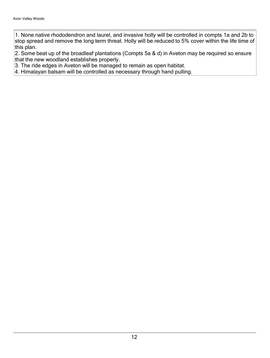1. None native rhododendron and laurel, and invasive holly will be controlled in compts 1a and 2b to stop spread and remove the long term threat. Holly will be reduced to 5% cover within the life time of this plan.

2. Some beat up of the broadleaf plantations (Compts 5a & d) in Aveton may be required so ensure that the new woodland establishes properly.

3. The ride edges in Aveton will be managed to remain as open habitat.

4. Himalayan balsam will be controlled as necessary through hand pulling.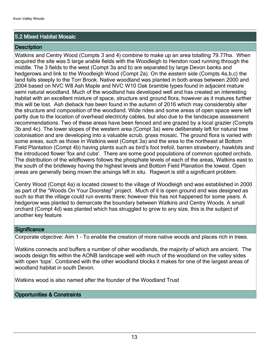#### 5.2 Mixed Habitat Mosaic

#### **Description**

Watkins and Centry Wood (Compts 3 and 4) combine to make up an area totalling 79.77ha. When acquired the site was 5 large arable fields with the Woodleigh to Hendon road running through the middle. The 3 fields to the west (Compt 3a and b) are separated by large Devon banks and hedgerows and link to the Woodleigh Wood (Compt 2a). On the eastern side (Compts 4a,b,c) the land falls steeply to the Torr Brook. Native woodland was planted in both areas between 2000 and 2004 based on NVC W8 Ash Maple and NVC W10 Oak bramble types found in adjacent mature semi natural woodland. Much of the woodland has developed well and has created an interesting habitat with an excellent mixture of space, structure and ground flora, however as it matures further this will be lost. Ash dieback has been found in the autumn of 2016 which may considerably alter the structure and composition of the woodland. Wide rides and some areas of open space were left partly due to the location of overhead electricity cables, but also due to the landscape assessment recommendations. Two of these areas have been fenced and are grazed by a local grazier (Compts 3b and 4c). The lower slopes of the western area (Compt 3a) were deliberately left for natural tree colonisation and are developing into a valuable scrub, grass mosaic. The ground flora is varied with some areas, such as those in Watkins west (Compt 3a) and the area to the northeast at Bottom Field Plantation (Compt 4b) having plants such as bird's foot trefoil, barren strawberry, hawkbits and the introduced flower 'fox and cubs'. There are some good populations of common spotted orchids. The distribution of the wildflowers follows the phosphate levels of each of the areas, Watkins east to the south of the bridleway having the highest levels and Bottom Field Planation the lowest. Open areas are generally being mown the arisings left in situ. Ragwort is still a significant problem.

Centry Wood (Compt 4a) is located closest to the village of Woodleigh and was established in 2000 as part of the "Woods On Your Doorstep" project. Much of it is open ground and was designed as such so that the village could run events there; however this has not happened for some years. A hedgerow was planted to demarcate the boundary between Watkins and Centry Woods. A small orchard (Compt 4d) was planted which has struggled to grow to any size, this is the subject of another key feature.

#### **Significance**

Corporate objective: Aim 1 - To enable the creation of more native woods and places rich in trees.

Watkins connects and buffers a number of other woodlands, the majority of which are ancient. The woods design fits within the AONB landscape well with much of the woodland on the valley sides with open 'tops'. Combined with the other woodland blocks it makes for one of the largest areas of woodland habitat in south Devon.

Watkins wood is also named after the founder of the Woodland Trust

#### Opportunities & Constraints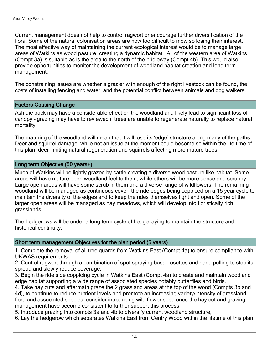Current management does not help to control ragwort or encourage further diversification of the flora. Some of the natural colonisation areas are now too difficult to mow so losing their interest. The most effective way of maintaining the current ecological interest would be to manage large areas of Watkins as wood pasture, creating a dynamic habitat. All of the western area of Watkins (Compt 3a) is suitable as is the area to the north of the bridleway (Compt 4b). This would also provide opportunities to monitor the development of woodland habitat creation and long term management.

The constraining issues are whether a grazier with enough of the right livestock can be found, the costs of installing fencing and water, and the potential conflict between animals and dog walkers.

#### Factors Causing Change

Ash die back may have a considerable effect on the woodland and likely lead to significant loss of canopy - grazing may have to reviewed if trees are unable to regenerate naturally to replace natural mortality.

The maturing of the woodland will mean that it will lose its 'edge' structure along many of the paths. Deer and squirrel damage, while not an issue at the moment could become so within the life time of this plan, deer limiting natural regeneration and squirrels affecting more mature trees.

#### Long term Objective (50 years+)

Much of Watkins will be lightly grazed by cattle creating a diverse wood pasture like habitat. Some areas will have mature open woodland feel to them, while others will be more dense and scrubby. Large open areas will have some scrub in them and a diverse range of wildflowers. The remaining woodland will be managed as continuous cover, the ride edges being coppiced on a 15 year cycle to maintain the diversity of the edges and to keep the rides themselves light and open. Some of the larger open areas will be managed as hay meadows, which will develop into floristically rich grasslands.

The hedgerows will be under a long term cycle of hedge laying to maintain the structure and historical continuity.

#### Short term management Objectives for the plan period (5 years)

1. Complete the removal of all tree guards from Watkins East (Compt 4a) to ensure compliance with UKWAS requirements.

2. Control ragwort through a combination of spot spraying basal rosettes and hand pulling to stop its spread and slowly reduce coverage.

3. Begin the ride side coppicing cycle in Watkins East (Compt 4a) to create and maintain woodland edge habitat supporting a wide range of associated species notably butterflies and birds.

4. Take hay cuts and aftermath graze the 2 grassland areas at the top of the wood (Compts 3b and 4d), to continue to reduce nutrient levels and promote an increasing variety/intensity of grassland flora and associated species, consider introducing wild flower seed once the hay cut and grazing management have become consistent to further support this process.

5. Introduce grazing into compts 3a and 4b to diversify current woodland structure,

6. Lay the hedgerow which separates Watkins East from Centry Wood within the lifetime of this plan.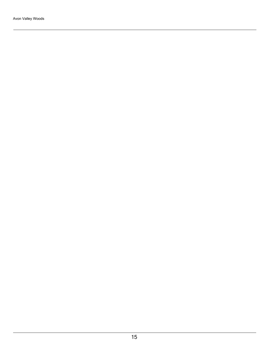Avon Valley Woods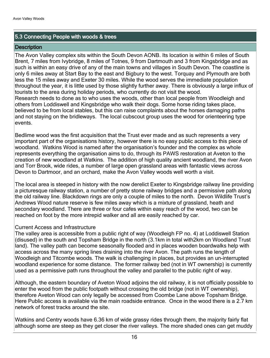#### 5.3 Connecting People with woods & trees

#### **Description**

The Avon Valley complex sits within the South Devon AONB. Its location is within 6 miles of South Brent, 7 miles from Ivybridge, 8 miles of Totnes, 9 from Dartmouth and 3 from Kingsbridge and as such is within an easy drive of any of the main towns and villages in South Devon. The coastline is only 6 miles away at Start Bay to the east and Bigbury to the west. Torquay and Plymouth are both less the 15 miles away and Exeter 30 miles. While the wood serves the immediate population throughout the year, it is little used by those slightly further away. There is obviously a large influx of tourists to the area during holiday periods, who currently do not visit the wood. Research needs to done as to who uses the woods, other than local people from Woodleigh and others from Loddiswell and Kingsbridge who walk their dogs. Some horse riding takes place, believed to be from local stables, but this can raise complaints about the horses damaging paths and not staying on the bridleways. The local cubscout group uses the wood for orienteering type events.

Bedlime wood was the first acquisition that the Trust ever made and as such represents a very important part of the organisations history, however there is no easy public access to this piece of woodland. Watkins Wood is named after the organisation's founder and the complex as whole represents everything the organisation aims to do, through its PAWS restoration at Aveton to the creation of new woodland at Watkins. The addition of high quality ancient woodland, the river Avon and Torr Brook, wide rides, a number of large open grassland areas with fantastic views across Devon to Dartmoor, and an orchard, make the Avon Valley woods well worth a visit.

The local area is steeped in history with the now derelict Exeter to Kingsbridge railway line providing a picturesque railway station, a number of pretty stone railway bridges and a permissive path along the old railway line. Blackdown rings are only a couple of miles to the north. Devon Wildlife Trust's Andrews Wood nature reserve is few miles away which is a mixture of grassland, heath and secondary woodland. There are three or four cafes within easy reach of the wood, two can be reached on foot by the more intrepid walker and all are easily reached by car.

#### Current Access and Infrastructure

The valley area is accessible from a public right of way (Woodleigh FP no. 4) at Loddiswell Station (disused) in the south and Topsham Bridge in the north (3.1km in total with2km on Woodland Trust land). The valley path can become seasonally flooded and in places wooden boardwalks help with access across the many spring lines draining into the river Avon. The path runs the length of Woodleigh and Titcombe woods. The walk is challenging in places, but provides an un-interrupted woodland experience for some distance. The former railway bed (not in WT ownership) is currently used as a permissive path runs throughout the valley and parallel to the public right of way.

Although, the eastern boundary of Aveton Wood adjoins the old railway, it is not officially possible to enter the wood from the public footpath without crossing the old bridge (not in WT ownership), therefore Aveton Wood can only legally be accessed from Coombe Lane above Topsham Bridge. Here Public access is available via the main roadside entrance. Once in the wood there is a 2.7 km network of forest tracks around the site.

Watkins and Centry woods have 6.36 km of wide grassy rides through them, the majority fairly flat although some are steep as they get closer the river valleys. The more shaded ones can get muddy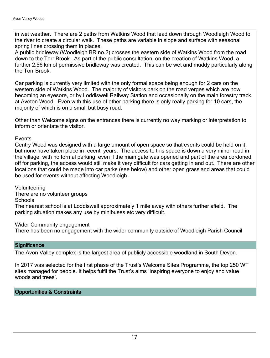in wet weather. There are 2 paths from Watkins Wood that lead down through Woodleigh Wood to the river to create a circular walk. These paths are variable in slope and surface with seasonal spring lines crossing them in places.

A public bridleway (Woodleigh BR no.2) crosses the eastern side of Watkins Wood from the road down to the Torr Brook. As part of the public consultation, on the creation of Watkins Wood, a further 2.56 km of permissive bridleway was created. This can be wet and muddy particularly along the Torr Brook.

Car parking is currently very limited with the only formal space being enough for 2 cars on the western side of Watkins Wood. The majority of visitors park on the road verges which are now becoming an eyesore, or by Loddiswell Railway Station and occasionally on the main forestry track at Aveton Wood. Even with this use of other parking there is only really parking for 10 cars, the majority of which is on a small but busy road.

Other than Welcome signs on the entrances there is currently no way marking or interpretation to inform or orientate the visitor.

#### Events

Centry Wood was designed with a large amount of open space so that events could be held on it, but none have taken place in recent years. The access to this space is down a very minor road in the village, with no formal parking, even if the main gate was opened and part of the area cordoned off for parking, the access would still make it very difficult for cars getting in and out. There are other locations that could be made into car parks (see below) and other open grassland areas that could be used for events without affecting Woodleigh.

Volunteering

There are no volunteer groups

**Schools** 

The nearest school is at Loddiswell approximately 1 mile away with others further afield. The parking situation makes any use by minibuses etc very difficult.

Wider Community engagement

There has been no engagement with the wider community outside of Woodleigh Parish Council

#### **Significance**

The Avon Valley complex is the largest area of publicly accessible woodland in South Devon.

In 2017 was selected for the first phase of the Trust's Welcome Sites Programme, the top 250 WT sites managed for people. It helps fulfil the Trust's aims 'Inspiring everyone to enjoy and value woods and trees'.

#### Opportunities & Constraints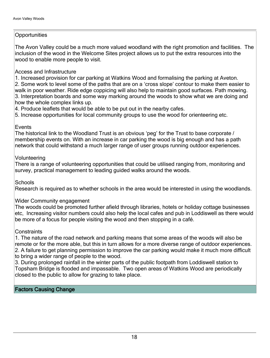#### **Opportunities**

The Avon Valley could be a much more valued woodland with the right promotion and facilities. The inclusion of the wood in the Welcome Sites project allows us to put the extra resources into the wood to enable more people to visit.

#### Access and Infrastructure

1. Increased provision for car parking at Watkins Wood and formalising the parking at Aveton.

2. Some work to level some of the paths that are on a 'cross slope' contour to make them easier to walk in poor weather. Ride edge coppicing will also help to maintain good surfaces. Path mowing. 3. Interpretation boards and some way marking around the woods to show what we are doing and how the whole complex links up.

- 4. Produce leaflets that would be able to be put out in the nearby cafes.
- 5. Increase opportunities for local community groups to use the wood for orienteering etc.

#### Events

The historical link to the Woodland Trust is an obvious 'peg' for the Trust to base corporate / membership events on. With an increase in car parking the wood is big enough and has a path network that could withstand a much larger range of user groups running outdoor experiences.

#### Volunteering

There is a range of volunteering opportunities that could be utilised ranging from, monitoring and survey, practical management to leading guided walks around the woods.

#### Schools

Research is required as to whether schools in the area would be interested in using the woodlands.

#### Wider Community engagement

The woods could be promoted further afield through libraries, hotels or holiday cottage businesses etc, Increasing visitor numbers could also help the local cafes and pub in Loddiswell as there would be more of a focus for people visiting the wood and then stopping in a café.

#### **Constraints**

1. The nature of the road network and parking means that some areas of the woods will also be remote or for the more able, but this in turn allows for a more diverse range of outdoor experiences. 2. A failure to get planning permission to improve the car parking would make it much more difficult to bring a wider range of people to the wood.

3. During prolonged rainfall in the winter parts of the public footpath from Loddiswell station to Topsham Bridge is flooded and impassable. Two open areas of Watkins Wood are periodically closed to the public to allow for grazing to take place.

#### Factors Causing Change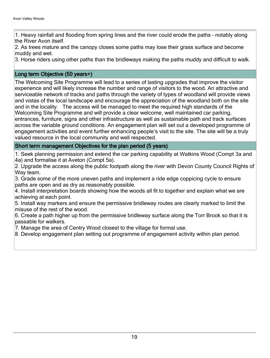1. Heavy rainfall and flooding from spring lines and the river could erode the paths - notably along the River Avon itself.

2. As trees mature and the canopy closes some paths may lose their grass surface and become muddy and wet.

3. Horse riders using other paths than the bridleways making the paths muddy and difficult to walk.

#### Long term Objective (50 years+)

The Welcoming Site Programme will lead to a series of lasting upgrades that improve the visitor experience and will likely increase the number and range of visitors to the wood. An attractive and serviceable network of tracks and paths through the variety of types of woodland will provide views and vistas of the local landscape and encourage the appreciation of the woodland both on the site and in the locality. The access will be managed to meet the required high standards of the Welcoming Site Programme and will provide a clear welcome, well maintained car parking, entrances, furniture, signs and other infrastructure as well as sustainable path and track surfaces across the variable ground conditions. An engagement plan will set out a developed programme of engagement activities and event further enhancing people's visit to the site. The site will be a truly valued resource in the local community and well respected.

#### Short term management Objectives for the plan period (5 years)

1. Seek planning permission and extend the car parking capability at Watkins Wood (Compt 3a and 4a) and formalise it at Aveton (Compt 5a).

2. Upgrade the access along the public footpath along the river with Devon County Council Rights of Way team.

3. Grade some of the more uneven paths and implement a ride edge coppicing cycle to ensure paths are open and as dry as reasonably possible.

4. Install interpretation boards showing how the woods all fit to together and explain what we are achieving at each point.

5. Install way markers and ensure the permissive bridleway routes are clearly marked to limit the misuse of the rest of the wood.

6. Create a path higher up from the permissive bridleway surface along the Torr Brook so that it is passable for walkers.

7. Manage the area of Centry Wood closest to the village for formal use.

8. Develop engagement plan setting out programme of engagement activity within plan period.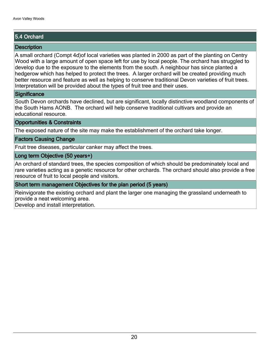#### 5.4 Orchard

#### **Description**

A small orchard (Compt 4d)of local varieties was planted in 2000 as part of the planting on Centry Wood with a large amount of open space left for use by local people. The orchard has struggled to develop due to the exposure to the elements from the south. A neighbour has since planted a hedgerow which has helped to protect the trees. A larger orchard will be created providing much better resource and feature as well as helping to conserve traditional Devon varieties of fruit trees. Interpretation will be provided about the types of fruit tree and their uses.

#### **Significance**

South Devon orchards have declined, but are significant, locally distinctive woodland components of the South Hams AONB. The orchard will help conserve traditional cultivars and provide an educational resource.

#### Opportunities & Constraints

The exposed nature of the site may make the establishment of the orchard take longer.

#### Factors Causing Change

Fruit tree diseases, particular canker may affect the trees.

#### Long term Objective (50 years+)

An orchard of standard trees, the species composition of which should be predominately local and rare varieties acting as a genetic resource for other orchards. The orchard should also provide a free resource of fruit to local people and visitors.

#### Short term management Objectives for the plan period (5 years)

Reinvigorate the existing orchard and plant the larger one managing the grassland underneath to provide a neat welcoming area.

Develop and install interpretation.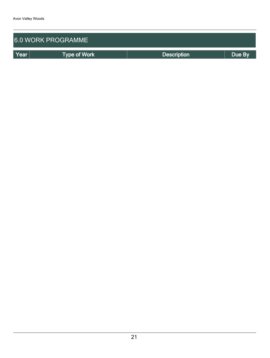|      | <b>6.0 WORK PROGRAMME</b> |                    |        |  |  |  |  |  |  |
|------|---------------------------|--------------------|--------|--|--|--|--|--|--|
| Year | <b>Type of Work</b>       | <b>Description</b> | Due By |  |  |  |  |  |  |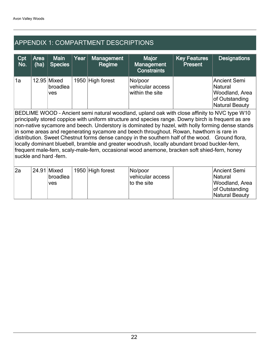## APPENDIX 1: COMPARTMENT DESCRIPTIONS

| Cpt<br>No. | <b>Area</b><br>(ha) | <b>Main</b><br><b>Species</b>         | Year | <b>Management</b><br>Regime | Major<br><b>Management</b><br><b>Constraints</b>                                                                                                                                                                                                                                                                                                                                                                                                                                                                                                                                                                                                                                                        | <b>Key Features</b><br><b>Present</b> | <b>Designations</b>                                                                                |
|------------|---------------------|---------------------------------------|------|-----------------------------|---------------------------------------------------------------------------------------------------------------------------------------------------------------------------------------------------------------------------------------------------------------------------------------------------------------------------------------------------------------------------------------------------------------------------------------------------------------------------------------------------------------------------------------------------------------------------------------------------------------------------------------------------------------------------------------------------------|---------------------------------------|----------------------------------------------------------------------------------------------------|
| 1a         |                     | 12.95 Mixed<br>broadlea<br>ves        | 1950 | High forest                 | No/poor<br>vehicular access<br>within the site                                                                                                                                                                                                                                                                                                                                                                                                                                                                                                                                                                                                                                                          |                                       | <b>Ancient Semi</b><br><b>Natural</b><br>Woodland, Area<br>of Outstanding<br><b>Natural Beauty</b> |
|            |                     | suckle and hard -fern.                |      |                             | BEDLIME WOOD - Ancient semi natural woodland, upland oak with close affinity to NVC type W10<br>principally stored coppice with uniform structure and species range. Downy birch is frequent as are<br>non-native sycamore and beech. Understory is dominated by hazel, with holly forming dense stands<br>in some areas and regenerating sycamore and beech throughout. Rowan, hawthorn is rare in<br>distribution. Sweet Chestnut forms dense canopy in the southern half of the wood. Ground flora,<br>locally dominant bluebell, bramble and greater woodrush, locally abundant broad buckler-fern,<br>frequent male-fern, scaly-male-fern, occasional wood anemone, bracken soft shied-fern, honey |                                       |                                                                                                    |
| 2al        |                     | 24.91 Mixed<br>broadlea<br><b>ves</b> | 1950 | High forest                 | No/poor<br>vehicular access<br>to the site                                                                                                                                                                                                                                                                                                                                                                                                                                                                                                                                                                                                                                                              |                                       | <b>Ancient Semi</b><br><b>Natural</b><br>Woodland, Area                                            |

of Outstanding Natural Beauty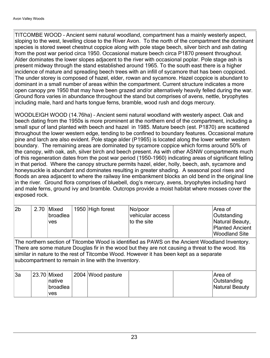TITCOMBE WOOD - Ancient semi natural woodland, compartment has a mainly westerly aspect, sloping to the west, levelling close to the River Avon. To the north of the compartment the dominant species is stored sweet chestnut coppice along with pole stage beech, silver birch and ash dating from the post war period circa 1950. Occasional mature beech circa P1870 present throughout. Alder dominates the lower slopes adjacent to the river with occasional poplar. Pole stage ash is present midway through the stand established around 1965. To the south east there is a higher incidence of mature and spreading beech trees with an infill of sycamore that has been coppiced. The under storey is composed of hazel, elder, rowan and sycamore. Hazel coppice is abundant to dominant in a small number of areas within the compartment. Current structure indicates a more open canopy pre 1950 that may have been grazed and/or alternatively heavily felled during the war. Ground flora varies in abundance throughout the stand but comprises of avens, nettle, bryophytes including male, hard and harts tongue ferns, bramble, wood rush and dogs mercury.

WOODLEIGH WOOD (14.76ha) - Ancient semi natural woodland with westerly aspect. Oak and beech dating from the 1950s is more prominent at the northern end of the compartment, including a small spur of land planted with beech and hazel in 1985. Mature beech (est. P1870) are scattered throughout the lower western edge, tending to be confined to boundary features. Occasional mature pine and larch are also evident. Pole stage alder (P1965) is located along the lower wetter western boundary. The remaining areas are dominated by sycamore coppice which forms around 50% of the canopy, with oak, ash, silver birch and beech present. As with other ASNW compartments much of this regeneration dates from the post war period (1950-1960) indicating areas of significant felling in that period. Where the canopy structure permits hazel, elder, holly, beech, ash, sycamore and honeysuckle is abundant and dominates resulting in greater shading. A seasonal pool rises and floods an area adjacent to where the railway line embankment blocks an old bend in the original line in the river. Ground flora comprises of bluebell, dog's mercury, avens, bryophytes including hard and male ferns, ground ivy and bramble. Outcrops provide a moist habitat where mosses cover the exposed rock.

| 2b | 2.70                                                                                                                                                                                                                                                                                                                                                   | Mixed<br>broadlea<br><b>ves</b>                 |  | 1950 High forest  | No/poor<br>vehicular access<br>to the site |  | Area of<br>Outstanding<br>Natural Beauty,<br><b>Planted Ancient</b><br><b>Woodland Site</b> |  |
|----|--------------------------------------------------------------------------------------------------------------------------------------------------------------------------------------------------------------------------------------------------------------------------------------------------------------------------------------------------------|-------------------------------------------------|--|-------------------|--------------------------------------------|--|---------------------------------------------------------------------------------------------|--|
|    | The northern section of Titcombe Wood is identified as PAWS on the Ancient Woodland Inventory.<br>There are some mature Douglas fir in the wood but they are not causing a threat to the wood. It is<br>similar in nature to the rest of Titcombe Wood. However it has been kept as a separate<br>subcompartment to remain in line with the Inventory. |                                                 |  |                   |                                            |  |                                                                                             |  |
| 3a |                                                                                                                                                                                                                                                                                                                                                        | 23.70 Mixed<br>native<br>broadlea<br><b>ves</b> |  | 2004 Wood pasture |                                            |  | Area of<br>Outstanding<br><b>Natural Beauty</b>                                             |  |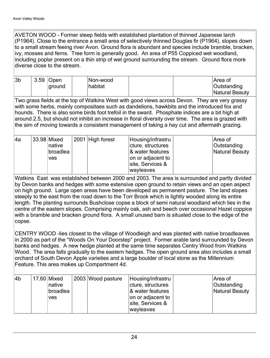AVETON WOOD - Former steep fields with established plantation of thinned Japanese larch (P1964). Close to the entrance a small area of selectively thinned Douglas fir (P1964), slopes down to a small stream feeing river Avon. Ground flora is abundant and species include bramble, bracken, ivy, mosses and ferns. Tree form is generally good. An area of P55 Coppiced wet woodland, including poplar present on a thin strip of wet ground surrounding the stream. Ground flora more diverse close to the stream.

| 3bl | $3.59$ Open | Non-wood | ∣Area of           |
|-----|-------------|----------|--------------------|
|     | ground      | habitat  | <b>Outstanding</b> |
|     |             |          | Natural Beauty     |
|     |             |          |                    |

Two grass fields at the top of Watkins West with good views across Devon. They are very grassy with some herbs, mainly compositaes such as dandelions, hawkbits and the introduced fox and hounds. There is also some birds foot trefoil in the sward. Phosphate indices are a bit high at around 2.5, but should not inhibit an increase in floral diversity over time. The area is grazed with the aim of moving towards a consistent management of taking a hay cut and aftermath grazing.

| l4a | 33.98 Mixed<br> native<br><b>broadlea</b><br>'ves | 2001 High forest | Housing/infrastru<br>cture, structures<br>8 water features<br>on or adjacent to<br>site, Services & | Area of<br>Outstanding<br>Natural Beauty |
|-----|---------------------------------------------------|------------------|-----------------------------------------------------------------------------------------------------|------------------------------------------|
|     |                                                   |                  | wayleaves                                                                                           |                                          |

Watkins East was established between 2000 and 2003. The area is surrounded and partly divided by Devon banks and hedges with some extensive open ground to retain views and an open aspect on high ground. Large open areas have been developed as permanent pasture. The land slopes steeply to the east from the road down to the Torr Brook which is lightly wooded along its entire length. The planting surrounds Bushclose copse a block of semi natural woodland which lies in the centre of the eastern slopes. Comprising mainly oak, ash and beech over occasional Hazel coppice with a bramble and bracken ground flora. A small unused barn is situated close to the edge of the copse.

CENTRY WOOD -lies closest to the village of Woodleigh and was planted with native broadleaves in 2000 as part of the "Woods On Your Doorstep" project. Former arable land surrounded by Devon banks and hedges. A new hedge planted at the same time separates Centry Wood from Watkins Wood. The area falls gradually to the eastern hedges. The open ground area also includes a small orchard of South Devon Apple varieties and a large boulder of local stone as the Millennium Feature. This area makes up Compartment 4d.

| 4b |  | 17.60 Mixed<br>native<br> broadlea<br><b>ves</b> |  | 2003 Wood pasture | Housing/infrastru<br>cture, structures<br>& water features<br>on or adjacent to<br>site, Services &<br>wayleaves |  | Area of<br>Outstanding<br>Natural Beauty |
|----|--|--------------------------------------------------|--|-------------------|------------------------------------------------------------------------------------------------------------------|--|------------------------------------------|
|----|--|--------------------------------------------------|--|-------------------|------------------------------------------------------------------------------------------------------------------|--|------------------------------------------|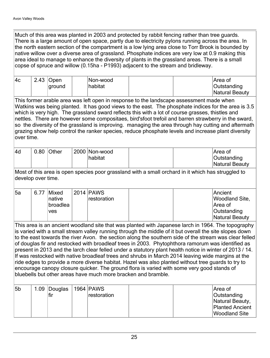Much of this area was planted in 2003 and protected by rabbit fencing rather than tree guards. There is a large amount of open space, partly due to electricity pylons running across the area. In the north eastern section of the compartment is a low lying area close to Torr Brook is bounded by native willow over a diverse area of grassland. Phosphate indices are very low at 0.9 making this area ideal to manage to enhance the diversity of plants in the grassland areas. There is a small copse of spruce and willow (0.15ha - P1993) adjacent to the stream and bridleway.

| ∣4c | $2.43$ Open | INon-wood | ∣Area of       |
|-----|-------------|-----------|----------------|
|     | ∣ground     | habitat   | Outstanding    |
|     |             |           | Natural Beauty |

This former arable area was left open in response to the landscape assessment made when Watkins was being planted. It has good views to the east. The phosphate indices for the area is 3.5 which is very high. The grassland sward reflects this with a lot of course grasses, thistles and nettles. There are however some compositaes, bird'sfoot trefoil and barren strawberry in the sward, so the diversity of the grassland is improving. managing the area through hay cutting and aftermath grazing show help control the ranker species, reduce phosphate levels and increase plant diversity over time.

| 4d |  | $0.80$ Other | 2000 Non-wood |  | ∣Area of           |
|----|--|--------------|---------------|--|--------------------|
|    |  |              | habitat       |  | <b>Outstanding</b> |
|    |  |              |               |  | Natural Beauty     |

Most of this area is open species poor grassland with a small orchard in it which has struggled to develop over time.

| 5a | 6.77 | <b>Mixed</b>    | 2014 PAWS   |  | ∣Ancient              |
|----|------|-----------------|-------------|--|-----------------------|
|    |      | <b>Inative</b>  | restoration |  | <b>Woodland Site,</b> |
|    |      | <b>broadlea</b> |             |  | Area of               |
|    |      | ∣ves            |             |  | Outstanding           |
|    |      |                 |             |  | Natural Beauty        |

This area is an ancient woodland site that was planted with Japanese larch in 1964. The topography is varied with a small stream valley running through the middle of it but overall the site slopes down to the east towards the river Avon. the section along the southern side of the stream was clear felled of douglas fir and restocked with broadleaf trees in 2003. Phytophthora ramorum was identified as present in 2013 and the larch clear felled under a statutory plant health notice in winter of 2013 / 14. If was restocked with native broadleaf trees and shrubs in March 2014 leaving wide margins at the ride edges to provide a more diverse habitat. Hazel was also planted without tree guards to try to encourage canopy closure quicker. The ground flora is varied with some very good stands of bluebells but other areas have much more bracken and bramble.

| <sup>15</sup> b | 1.09 Douglas<br>fir | ⊦1964  PAWS<br>restoration |  | ∣Area of<br>Outstanding<br>Natural Beauty,     |
|-----------------|---------------------|----------------------------|--|------------------------------------------------|
|                 |                     |                            |  | <b>Planted Ancient</b><br><b>Woodland Site</b> |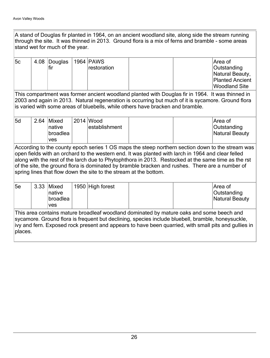A stand of Douglas fir planted in 1964, on an ancient woodland site, along side the stream running through the site. It was thinned in 2013. Ground flora is a mix of ferns and bramble - some areas stand wet for much of the year.

| 5c | 4.08 Douglas | 1964 PAWS   |  | Area of                |
|----|--------------|-------------|--|------------------------|
|    | fir          | restoration |  | Outstanding            |
|    |              |             |  | Natural Beauty,        |
|    |              |             |  | <b>Planted Ancient</b> |
|    |              |             |  | <b>Woodland Site</b>   |

This compartment was former ancient woodland planted with Douglas fir in 1964. It was thinned in 2003 and again in 2013. Natural regeneration is occurring but much of it is sycamore. Ground flora is varied with some areas of bluebells, while others have bracken and bramble.

| <b>5d</b> | 2.64 | Mixed      | 2014 Wood     |  | ∣Area of           |
|-----------|------|------------|---------------|--|--------------------|
|           |      | Inative    | establishment |  | <b>Outstanding</b> |
|           |      | broadlea   |               |  | Natural Beauty     |
|           |      | <b>ves</b> |               |  |                    |

According to the county epoch series 1 OS maps the steep northern section down to the stream was open fields with an orchard to the western end. It was planted with larch in 1964 and clear felled along with the rest of the larch due to Phytophthora in 2013. Restocked at the same time as the rst of the site, the ground flora is dominated by bramble bracken and rushes. There are a number of spring lines that flow down the site to the stream at the bottom.

| 5e | 3.33 | Mixed           | 1950 High forest |  | Area of            |
|----|------|-----------------|------------------|--|--------------------|
|    |      | <b>Inative</b>  |                  |  | <b>Outstanding</b> |
|    |      | <b>broadlea</b> |                  |  | Natural Beauty     |
|    |      | ∣ves            |                  |  |                    |

This area contains mature broadleaf woodland dominated by mature oaks and some beech and sycamore. Ground flora is frequent but declining, species include bluebell, bramble, honeysuckle, ivy and fern. Exposed rock present and appears to have been quarried, with small pits and gullies in places.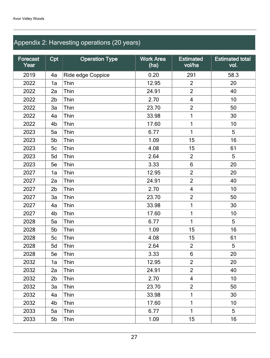# Appendix 2: Harvesting operations (20 years)

| <b>Forecast</b><br>Year | Cpt            | <b>Operation Type</b> | <b>Work Area</b><br>(ha) | <b>Estimated</b><br>vol/ha | <b>Estimated total</b><br>vol. |
|-------------------------|----------------|-----------------------|--------------------------|----------------------------|--------------------------------|
| 2019                    | 4a             | Ride edge Coppice     | 0.20                     | 291                        | 58.3                           |
| 2022                    | 1a             | Thin                  | 12.95                    | $\overline{2}$             | 20                             |
| 2022                    | 2a             | Thin                  | 24.91                    | $\overline{2}$             | 40                             |
| 2022                    | 2 <sub>b</sub> | Thin                  | 2.70                     | $\overline{\mathcal{A}}$   | 10                             |
| 2022                    | 3a             | Thin                  | 23.70                    | $\overline{2}$             | 50                             |
| 2022                    | 4a             | Thin                  | 33.98                    | $\mathbf{1}$               | 30                             |
| 2022                    | 4 <sub>b</sub> | Thin                  | 17.60                    | 1                          | 10                             |
| 2023                    | 5a             | Thin                  | 6.77                     | 1                          | 5                              |
| 2023                    | 5b             | Thin                  | 1.09                     | 15                         | 16                             |
| 2023                    | 5c             | Thin                  | 4.08                     | 15                         | 61                             |
| 2023                    | 5d             | Thin                  | 2.64                     | $\overline{2}$             | 5                              |
| 2023                    | 5e             | Thin                  | 3.33                     | 6                          | 20                             |
| 2027                    | 1a             | Thin                  | 12.95                    | $\overline{2}$             | 20                             |
| 2027                    | 2a             | Thin                  | 24.91                    | $\overline{2}$             | 40                             |
| 2027                    | 2 <sub>b</sub> | Thin                  | 2.70                     | $\overline{\mathcal{A}}$   | 10                             |
| 2027                    | 3a             | Thin                  | 23.70                    | $\overline{2}$             | 50                             |
| 2027                    | 4a             | Thin                  | 33.98                    | 1                          | 30                             |
| 2027                    | 4 <sub>b</sub> | Thin                  | 17.60                    | 1                          | 10                             |
| 2028                    | 5a             | Thin                  | 6.77                     | 1                          | 5                              |
| 2028                    | 5b             | Thin                  | 1.09                     | 15                         | 16                             |
| 2028                    | 5c             | Thin                  | 4.08                     | 15                         | 61                             |
| 2028                    | 5d             | Thin                  | 2.64                     | $\overline{2}$             | 5                              |
| 2028                    | 5e             | Thin                  | 3.33                     | 6                          | 20                             |
| 2032                    | 1a             | Thin                  | 12.95                    | $\overline{2}$             | 20                             |
| 2032                    | 2a             | Thin                  | 24.91                    | $\overline{2}$             | 40                             |
| 2032                    | 2 <sub>b</sub> | Thin                  | 2.70                     | $\overline{\mathbf{4}}$    | 10                             |
| 2032                    | 3a             | Thin                  | 23.70                    | $\overline{2}$             | 50                             |
| 2032                    | 4a             | Thin                  | 33.98                    | 1                          | 30                             |
| 2032                    | 4 <sub>b</sub> | Thin                  | 17.60                    | $\mathbf{1}$               | 10                             |
| 2033                    | 5a             | Thin                  | 6.77                     | $\mathbf{1}$               | 5                              |
| 2033                    | 5b             | Thin                  | 1.09                     | 15 <sub>1</sub>            | 16                             |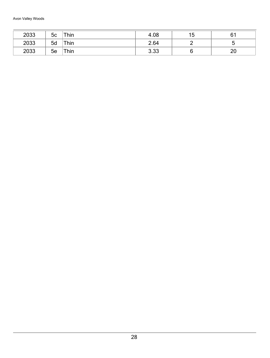| 2033 | 5 <sub>c</sub> | Thin | 4.08        | ⊌ | 6 <sup>4</sup> |
|------|----------------|------|-------------|---|----------------|
| 2033 | 5d             | Thin | 2.64        |   |                |
| 2033 | 5e             | Thin | ר כ<br>ວ.ວວ |   | n r<br>∠∪      |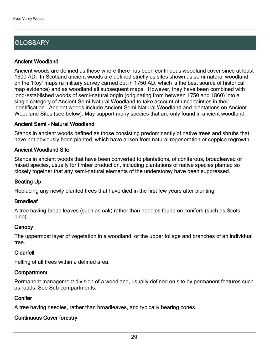## **GLOSSARY**

#### Ancient Woodland

Ancient woods are defined as those where there has been continuous woodland cover since at least 1600 AD. In Scotland ancient woods are defined strictly as sites shown as semi-natural woodland on the 'Roy' maps (a military survey carried out in 1750 AD, which is the best source of historical map evidence) and as woodland all subsequent maps. However, they have been combined with long-established woods of semi-natural origin (originating from between 1750 and 1860) into a single category of Ancient Semi-Natural Woodland to take account of uncertainties in their identification. Ancient woods include Ancient Semi-Natural Woodland and plantations on Ancient Woodland Sites (see below). May support many species that are only found in ancient woodland.

#### Ancient Semi - Natural Woodland

Stands in ancient woods defined as those consisting predominantly of native trees and shrubs that have not obviously been planted, which have arisen from natural regeneration or coppice regrowth.

#### Ancient Woodland Site

Stands in ancient woods that have been converted to plantations, of coniferous, broadleaved or mixed species, usually for timber production, including plantations of native species planted so closely together that any semi-natural elements of the understorey have been suppressed.

#### Beating Up

Replacing any newly planted trees that have died in the first few years after planting.

#### **Broadleaf**

A tree having broad leaves (such as oak) rather than needles found on conifers (such as Scots pine).

#### **Canopy**

The uppermost layer of vegetation in a woodland, or the upper foliage and branches of an individual tree.

#### Clearfell

Felling of all trees within a defined area.

#### **Compartment**

Permanent management division of a woodland, usually defined on site by permanent features such as roads. See Sub-compartments.

#### **Conifer**

A tree having needles, rather than broadleaves, and typically bearing cones.

#### Continuous Cover forestry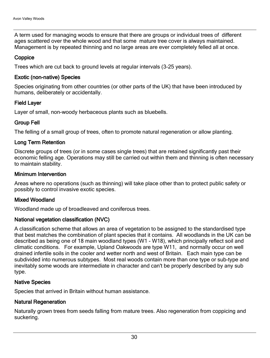A term used for managing woods to ensure that there are groups or individual trees of different ages scattered over the whole wood and that some mature tree cover is always maintained. Management is by repeated thinning and no large areas are ever completely felled all at once.

#### **Coppice**

Trees which are cut back to ground levels at regular intervals (3-25 years).

#### Exotic (non-native) Species

Species originating from other countries (or other parts of the UK) that have been introduced by humans, deliberately or accidentally.

#### Field Layer

Layer of small, non-woody herbaceous plants such as bluebells.

#### Group Fell

The felling of a small group of trees, often to promote natural regeneration or allow planting.

#### Long Term Retention

Discrete groups of trees (or in some cases single trees) that are retained significantly past their economic felling age. Operations may still be carried out within them and thinning is often necessary to maintain stability.

#### Minimum Intervention

Areas where no operations (such as thinning) will take place other than to protect public safety or possibly to control invasive exotic species.

#### Mixed Woodland

Woodland made up of broadleaved and coniferous trees.

#### National vegetation classification (NVC)

A classification scheme that allows an area of vegetation to be assigned to the standardised type that best matches the combination of plant species that it contains. All woodlands in the UK can be described as being one of 18 main woodland types (W1 - W18), which principally reflect soil and climatic conditions. For example, Upland Oakwoods are type W11, and normally occur on well drained infertile soils in the cooler and wetter north and west of Britain. Each main type can be subdivided into numerous subtypes. Most real woods contain more than one type or sub-type and inevitably some woods are intermediate in character and can't be properly described by any sub type.

#### Native Species

Species that arrived in Britain without human assistance.

#### Natural Regeneration

Naturally grown trees from seeds falling from mature trees. Also regeneration from coppicing and suckering.